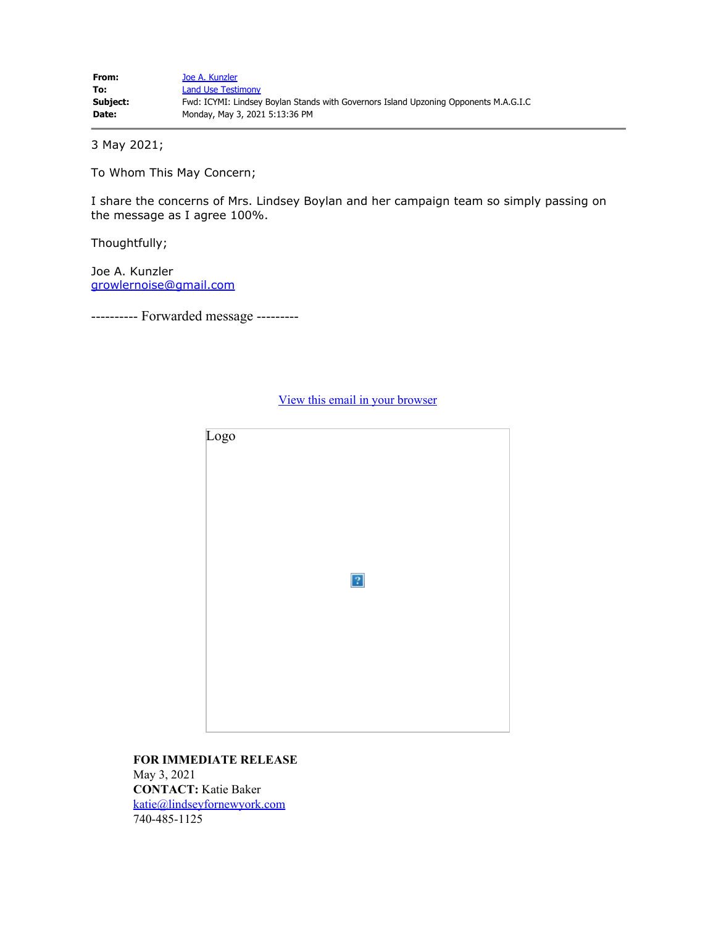3 May 2021;

To Whom This May Concern;

I share the concerns of Mrs. Lindsey Boylan and her campaign team so simply passing on the message as I agree 100%.

Thoughtfully;

Joe A. Kunzler [growlernoise@gmail.com](mailto:growlernoise@gmail.com)

---------- Forwarded message ---------

Logo  $\vert$ ?

[View this email in your browser](https://mailchi.mp/3fa804523333/0w8pxy7fka-4965984?e=9c86c6b05d)

**FOR IMMEDIATE RELEASE** May 3, 2021 **CONTACT:** Katie Baker [katie@lindseyfornewyork.com](mailto:katie@lindseyfornewyork.com) 740-485-1125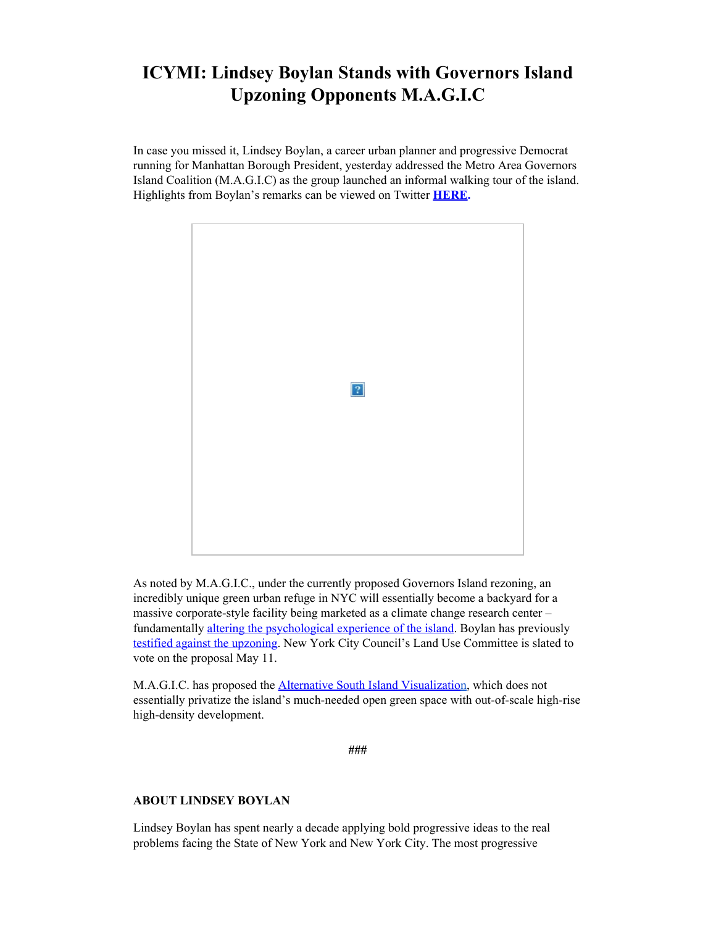## **ICYMI: Lindsey Boylan Stands with Governors Island Upzoning Opponents M.A.G.I.C**

In case you missed it, Lindsey Boylan, a career urban planner and progressive Democrat running for Manhattan Borough President, yesterday addressed the Metro Area Governors Island Coalition (M.A.G.I.C) as the group launched an informal walking tour of the island. Highlights from Boylan's remarks can be viewed on Twitter **[HERE](https://lindseyfornewyork.us7.list-manage.com/track/click?u=adc514a0b86d43f253714a168&id=9575f45023&e=9c86c6b05d).**



As noted by M.A.G.I.C., under the currently proposed Governors Island rezoning, an incredibly unique green urban refuge in NYC will essentially become a backyard for a massive corporate-style facility being marketed as a climate change research center – fundamentally [altering the psychological experience of the island](https://lindseyfornewyork.us7.list-manage.com/track/click?u=adc514a0b86d43f253714a168&id=a9265baa54&e=9c86c6b05d). Boylan has previously [testified against the upzoning](https://lindseyfornewyork.us7.list-manage.com/track/click?u=adc514a0b86d43f253714a168&id=e670bf9c9f&e=9c86c6b05d). New York City Council's Land Use Committee is slated to vote on the proposal May 11.

M.A.G.I.C. has proposed the [Alternative South Island Visualization](https://lindseyfornewyork.us7.list-manage.com/track/click?u=adc514a0b86d43f253714a168&id=9dad7185bb&e=9c86c6b05d), which does not essentially privatize the island's much-needed open green space with out-of-scale high-rise high-density development.

**###**

## **ABOUT LINDSEY BOYLAN**

Lindsey Boylan has spent nearly a decade applying bold progressive ideas to the real problems facing the State of New York and New York City. The most progressive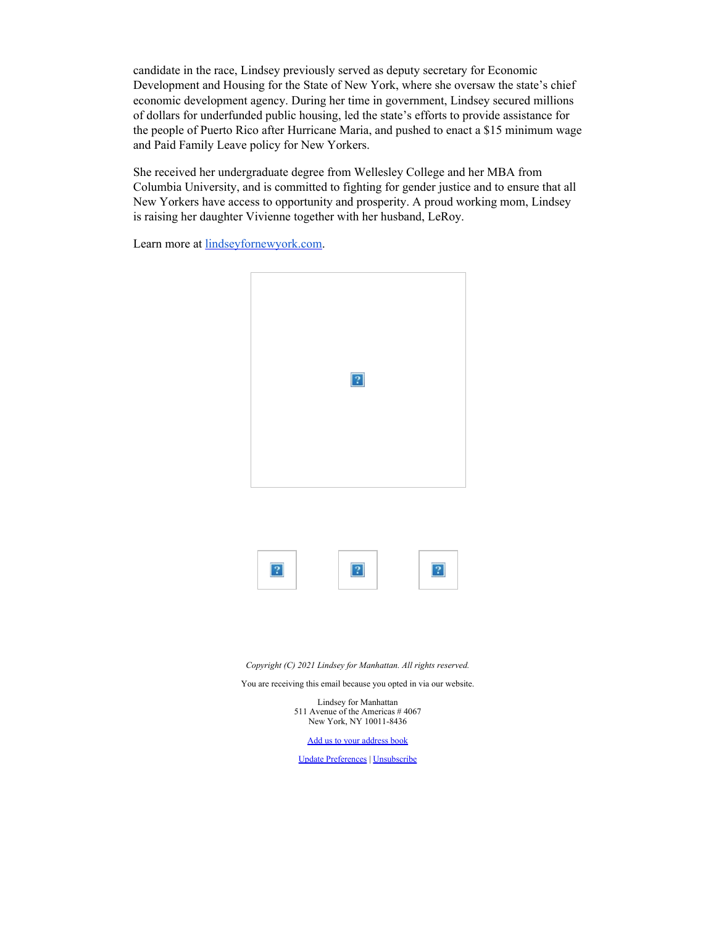candidate in the race, Lindsey previously served as deputy secretary for Economic Development and Housing for the State of New York, where she oversaw the state's chief economic development agency. During her time in government, Lindsey secured millions of dollars for underfunded public housing, led the state's efforts to provide assistance for the people of Puerto Rico after Hurricane Maria, and pushed to enact a \$15 minimum wage and Paid Family Leave policy for New Yorkers.

She received her undergraduate degree from Wellesley College and her MBA from Columbia University, and is committed to fighting for gender justice and to ensure that all New Yorkers have access to opportunity and prosperity. A proud working mom, Lindsey is raising her daughter Vivienne together with her husband, LeRoy.

Learn more at **lindseyfornewyork.com**.



*Copyright (C) 2021 Lindsey for Manhattan. All rights reserved.*

You are receiving this email because you opted in via our website.

Lindsey for Manhattan 511 Avenue of the Americas # 4067 New York, NY 10011-8436

[Add us to your address book](https://lindseyfornewyork.us7.list-manage.com/vcard?u=adc514a0b86d43f253714a168&id=a6a0606f57)

[Update Preferences](https://lindseyfornewyork.us7.list-manage.com/profile?u=adc514a0b86d43f253714a168&id=a6a0606f57&e=9c86c6b05d&c=62a95564f3) | [Unsubscribe](https://lindseyfornewyork.us7.list-manage.com/unsubscribe?u=adc514a0b86d43f253714a168&id=a6a0606f57&e=9c86c6b05d&c=62a95564f3)